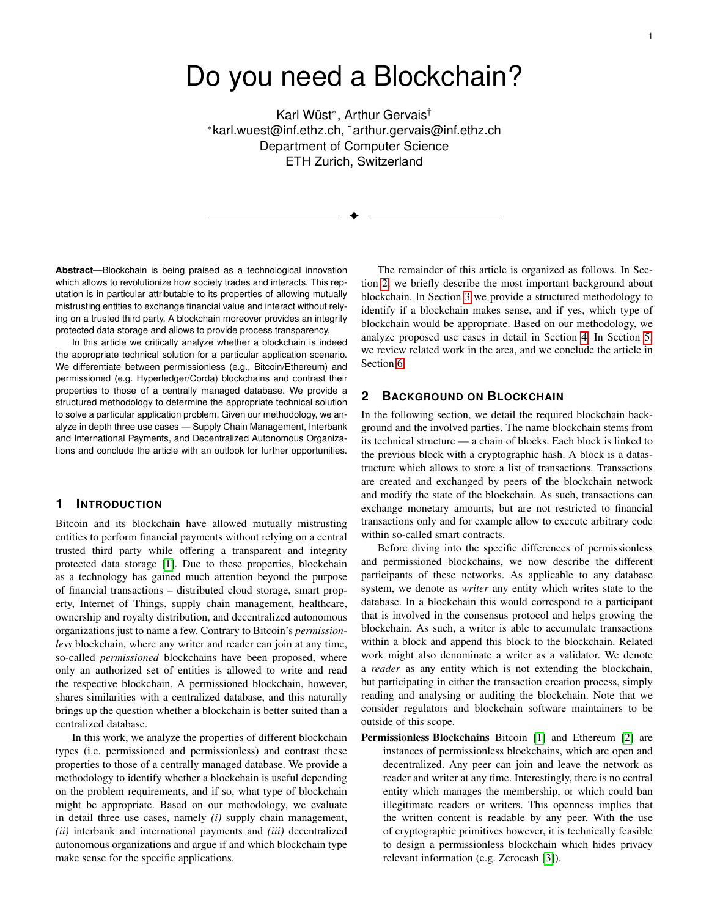# Do you need a Blockchain?

Karl Wüst<sup>∗</sup> , Arthur Gervais† <sup>∗</sup>karl.wuest@inf.ethz.ch, †arthur.gervais@inf.ethz.ch Department of Computer Science ETH Zurich, Switzerland

✦

**Abstract**—Blockchain is being praised as a technological innovation which allows to revolutionize how society trades and interacts. This reputation is in particular attributable to its properties of allowing mutually mistrusting entities to exchange financial value and interact without relying on a trusted third party. A blockchain moreover provides an integrity protected data storage and allows to provide process transparency.

In this article we critically analyze whether a blockchain is indeed the appropriate technical solution for a particular application scenario. We differentiate between permissionless (e.g., Bitcoin/Ethereum) and permissioned (e.g. Hyperledger/Corda) blockchains and contrast their properties to those of a centrally managed database. We provide a structured methodology to determine the appropriate technical solution to solve a particular application problem. Given our methodology, we analyze in depth three use cases — Supply Chain Management, Interbank and International Payments, and Decentralized Autonomous Organizations and conclude the article with an outlook for further opportunities.

# **1 INTRODUCTION**

Bitcoin and its blockchain have allowed mutually mistrusting entities to perform financial payments without relying on a central trusted third party while offering a transparent and integrity protected data storage [\[1\]](#page-6-0). Due to these properties, blockchain as a technology has gained much attention beyond the purpose of financial transactions – distributed cloud storage, smart property, Internet of Things, supply chain management, healthcare, ownership and royalty distribution, and decentralized autonomous organizations just to name a few. Contrary to Bitcoin's *permissionless* blockchain, where any writer and reader can join at any time, so-called *permissioned* blockchains have been proposed, where only an authorized set of entities is allowed to write and read the respective blockchain. A permissioned blockchain, however, shares similarities with a centralized database, and this naturally brings up the question whether a blockchain is better suited than a centralized database.

In this work, we analyze the properties of different blockchain types (i.e. permissioned and permissionless) and contrast these properties to those of a centrally managed database. We provide a methodology to identify whether a blockchain is useful depending on the problem requirements, and if so, what type of blockchain might be appropriate. Based on our methodology, we evaluate in detail three use cases, namely *(i)* supply chain management, *(ii)* interbank and international payments and *(iii)* decentralized autonomous organizations and argue if and which blockchain type make sense for the specific applications.

The remainder of this article is organized as follows. In Section [2,](#page-0-0) we briefly describe the most important background about blockchain. In Section [3](#page-1-0) we provide a structured methodology to identify if a blockchain makes sense, and if yes, which type of blockchain would be appropriate. Based on our methodology, we analyze proposed use cases in detail in Section [4.](#page-1-1) In Section [5,](#page-6-1) we review related work in the area, and we conclude the article in Section [6.](#page-6-2)

# <span id="page-0-0"></span>**2 BACKGROUND ON BLOCKCHAIN**

In the following section, we detail the required blockchain background and the involved parties. The name blockchain stems from its technical structure — a chain of blocks. Each block is linked to the previous block with a cryptographic hash. A block is a datastructure which allows to store a list of transactions. Transactions are created and exchanged by peers of the blockchain network and modify the state of the blockchain. As such, transactions can exchange monetary amounts, but are not restricted to financial transactions only and for example allow to execute arbitrary code within so-called smart contracts.

Before diving into the specific differences of permissionless and permissioned blockchains, we now describe the different participants of these networks. As applicable to any database system, we denote as *writer* any entity which writes state to the database. In a blockchain this would correspond to a participant that is involved in the consensus protocol and helps growing the blockchain. As such, a writer is able to accumulate transactions within a block and append this block to the blockchain. Related work might also denominate a writer as a validator. We denote a *reader* as any entity which is not extending the blockchain, but participating in either the transaction creation process, simply reading and analysing or auditing the blockchain. Note that we consider regulators and blockchain software maintainers to be outside of this scope.

Permissionless Blockchains Bitcoin [\[1\]](#page-6-0) and Ethereum [\[2\]](#page-6-3) are instances of permissionless blockchains, which are open and decentralized. Any peer can join and leave the network as reader and writer at any time. Interestingly, there is no central entity which manages the membership, or which could ban illegitimate readers or writers. This openness implies that the written content is readable by any peer. With the use of cryptographic primitives however, it is technically feasible to design a permissionless blockchain which hides privacy relevant information (e.g. Zerocash [\[3\]](#page-6-4)).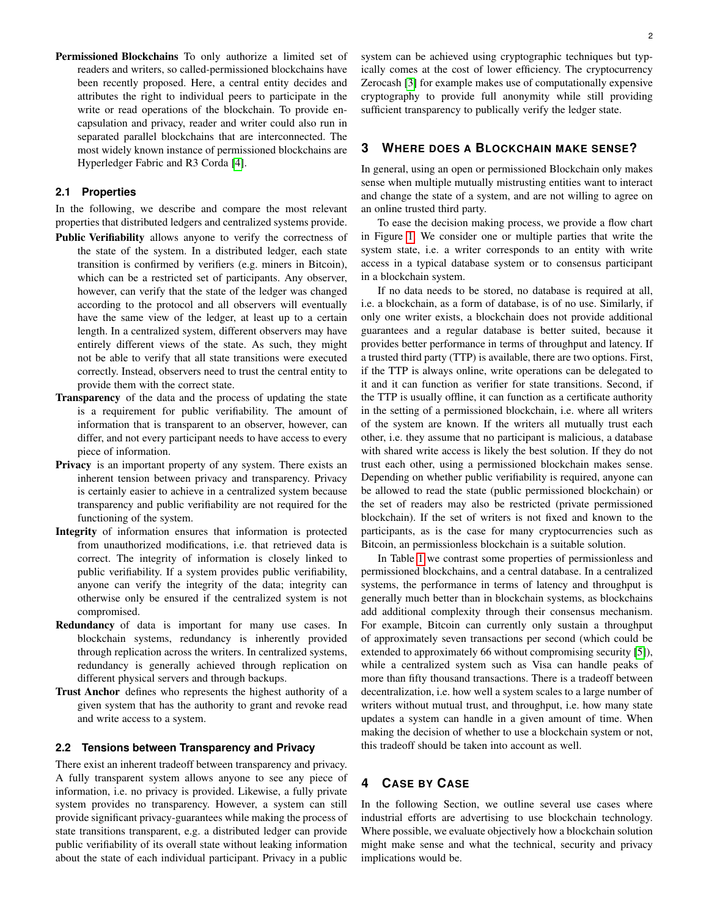Permissioned Blockchains To only authorize a limited set of readers and writers, so called-permissioned blockchains have been recently proposed. Here, a central entity decides and attributes the right to individual peers to participate in the write or read operations of the blockchain. To provide encapsulation and privacy, reader and writer could also run in separated parallel blockchains that are interconnected. The most widely known instance of permissioned blockchains are Hyperledger Fabric and R3 Corda [\[4\]](#page-6-5).

## **2.1 Properties**

In the following, we describe and compare the most relevant properties that distributed ledgers and centralized systems provide.

- Public Verifiability allows anyone to verify the correctness of the state of the system. In a distributed ledger, each state transition is confirmed by verifiers (e.g. miners in Bitcoin), which can be a restricted set of participants. Any observer, however, can verify that the state of the ledger was changed according to the protocol and all observers will eventually have the same view of the ledger, at least up to a certain length. In a centralized system, different observers may have entirely different views of the state. As such, they might not be able to verify that all state transitions were executed correctly. Instead, observers need to trust the central entity to provide them with the correct state.
- Transparency of the data and the process of updating the state is a requirement for public verifiability. The amount of information that is transparent to an observer, however, can differ, and not every participant needs to have access to every piece of information.
- Privacy is an important property of any system. There exists an inherent tension between privacy and transparency. Privacy is certainly easier to achieve in a centralized system because transparency and public verifiability are not required for the functioning of the system.
- Integrity of information ensures that information is protected from unauthorized modifications, i.e. that retrieved data is correct. The integrity of information is closely linked to public verifiability. If a system provides public verifiability, anyone can verify the integrity of the data; integrity can otherwise only be ensured if the centralized system is not compromised.
- Redundancy of data is important for many use cases. In blockchain systems, redundancy is inherently provided through replication across the writers. In centralized systems, redundancy is generally achieved through replication on different physical servers and through backups.
- Trust Anchor defines who represents the highest authority of a given system that has the authority to grant and revoke read and write access to a system.

#### <span id="page-1-2"></span>**2.2 Tensions between Transparency and Privacy**

There exist an inherent tradeoff between transparency and privacy. A fully transparent system allows anyone to see any piece of information, i.e. no privacy is provided. Likewise, a fully private system provides no transparency. However, a system can still provide significant privacy-guarantees while making the process of state transitions transparent, e.g. a distributed ledger can provide public verifiability of its overall state without leaking information about the state of each individual participant. Privacy in a public

system can be achieved using cryptographic techniques but typically comes at the cost of lower efficiency. The cryptocurrency Zerocash [\[3\]](#page-6-4) for example makes use of computationally expensive cryptography to provide full anonymity while still providing sufficient transparency to publically verify the ledger state.

# <span id="page-1-0"></span>**3 WHERE DOES A BLOCKCHAIN MAKE SENSE?**

In general, using an open or permissioned Blockchain only makes sense when multiple mutually mistrusting entities want to interact and change the state of a system, and are not willing to agree on an online trusted third party.

To ease the decision making process, we provide a flow chart in Figure [1.](#page-2-0) We consider one or multiple parties that write the system state, i.e. a writer corresponds to an entity with write access in a typical database system or to consensus participant in a blockchain system.

If no data needs to be stored, no database is required at all, i.e. a blockchain, as a form of database, is of no use. Similarly, if only one writer exists, a blockchain does not provide additional guarantees and a regular database is better suited, because it provides better performance in terms of throughput and latency. If a trusted third party (TTP) is available, there are two options. First, if the TTP is always online, write operations can be delegated to it and it can function as verifier for state transitions. Second, if the TTP is usually offline, it can function as a certificate authority in the setting of a permissioned blockchain, i.e. where all writers of the system are known. If the writers all mutually trust each other, i.e. they assume that no participant is malicious, a database with shared write access is likely the best solution. If they do not trust each other, using a permissioned blockchain makes sense. Depending on whether public verifiability is required, anyone can be allowed to read the state (public permissioned blockchain) or the set of readers may also be restricted (private permissioned blockchain). If the set of writers is not fixed and known to the participants, as is the case for many cryptocurrencies such as Bitcoin, an permissionless blockchain is a suitable solution.

In Table [1](#page-2-1) we contrast some properties of permissionless and permissioned blockchains, and a central database. In a centralized systems, the performance in terms of latency and throughput is generally much better than in blockchain systems, as blockchains add additional complexity through their consensus mechanism. For example, Bitcoin can currently only sustain a throughput of approximately seven transactions per second (which could be extended to approximately 66 without compromising security [\[5\]](#page-6-6)), while a centralized system such as Visa can handle peaks of more than fifty thousand transactions. There is a tradeoff between decentralization, i.e. how well a system scales to a large number of writers without mutual trust, and throughput, i.e. how many state updates a system can handle in a given amount of time. When making the decision of whether to use a blockchain system or not, this tradeoff should be taken into account as well.

# <span id="page-1-1"></span>**4 CASE BY CASE**

In the following Section, we outline several use cases where industrial efforts are advertising to use blockchain technology. Where possible, we evaluate objectively how a blockchain solution might make sense and what the technical, security and privacy implications would be.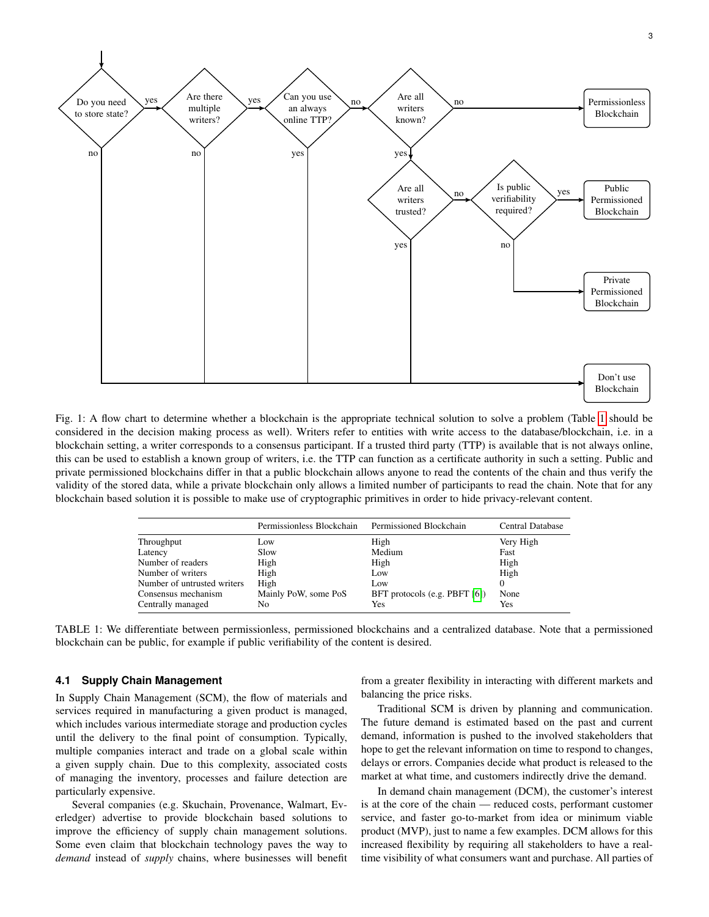<span id="page-2-0"></span>

Fig. 1: A flow chart to determine whether a blockchain is the appropriate technical solution to solve a problem (Table [1](#page-2-1) should be considered in the decision making process as well). Writers refer to entities with write access to the database/blockchain, i.e. in a blockchain setting, a writer corresponds to a consensus participant. If a trusted third party (TTP) is available that is not always online, this can be used to establish a known group of writers, i.e. the TTP can function as a certificate authority in such a setting. Public and private permissioned blockchains differ in that a public blockchain allows anyone to read the contents of the chain and thus verify the validity of the stored data, while a private blockchain only allows a limited number of participants to read the chain. Note that for any blockchain based solution it is possible to make use of cryptographic primitives in order to hide privacy-relevant content.

<span id="page-2-1"></span>

|                             | Permissionless Blockchain | Permissioned Blockchain       | Central Database |
|-----------------------------|---------------------------|-------------------------------|------------------|
| Throughput                  | Low                       | High                          | Very High        |
| Latency                     | Slow                      | Medium                        | Fast             |
| Number of readers           | High                      | High                          | High             |
| Number of writers           | High                      | Low                           | High             |
| Number of untrusted writers | High                      | Low                           | $\Omega$         |
| Consensus mechanism         | Mainly PoW, some PoS      | BFT protocols (e.g. PBFT [6]) | None             |
| Centrally managed           | No                        | Yes                           | Yes              |

TABLE 1: We differentiate between permissionless, permissioned blockchains and a centralized database. Note that a permissioned blockchain can be public, for example if public verifiability of the content is desired.

## <span id="page-2-2"></span>**4.1 Supply Chain Management**

In Supply Chain Management (SCM), the flow of materials and services required in manufacturing a given product is managed, which includes various intermediate storage and production cycles until the delivery to the final point of consumption. Typically, multiple companies interact and trade on a global scale within a given supply chain. Due to this complexity, associated costs of managing the inventory, processes and failure detection are particularly expensive.

Several companies (e.g. Skuchain, Provenance, Walmart, Everledger) advertise to provide blockchain based solutions to improve the efficiency of supply chain management solutions. Some even claim that blockchain technology paves the way to *demand* instead of *supply* chains, where businesses will benefit from a greater flexibility in interacting with different markets and balancing the price risks.

Traditional SCM is driven by planning and communication. The future demand is estimated based on the past and current demand, information is pushed to the involved stakeholders that hope to get the relevant information on time to respond to changes, delays or errors. Companies decide what product is released to the market at what time, and customers indirectly drive the demand.

In demand chain management (DCM), the customer's interest is at the core of the chain — reduced costs, performant customer service, and faster go-to-market from idea or minimum viable product (MVP), just to name a few examples. DCM allows for this increased flexibility by requiring all stakeholders to have a realtime visibility of what consumers want and purchase. All parties of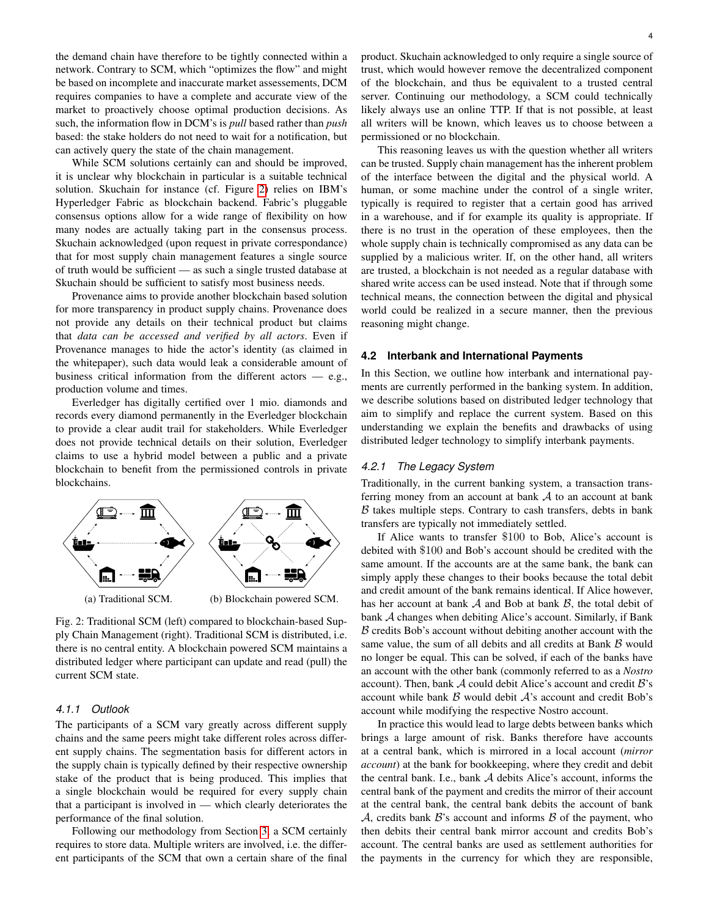the demand chain have therefore to be tightly connected within a network. Contrary to SCM, which "optimizes the flow" and might be based on incomplete and inaccurate market assessements, DCM requires companies to have a complete and accurate view of the market to proactively choose optimal production decisions. As such, the information flow in DCM's is *pull* based rather than *push* based: the stake holders do not need to wait for a notification, but can actively query the state of the chain management.

While SCM solutions certainly can and should be improved, it is unclear why blockchain in particular is a suitable technical solution. Skuchain for instance (cf. Figure [2\)](#page-3-0) relies on IBM's Hyperledger Fabric as blockchain backend. Fabric's pluggable consensus options allow for a wide range of flexibility on how many nodes are actually taking part in the consensus process. Skuchain acknowledged (upon request in private correspondance) that for most supply chain management features a single source of truth would be sufficient — as such a single trusted database at Skuchain should be sufficient to satisfy most business needs.

Provenance aims to provide another blockchain based solution for more transparency in product supply chains. Provenance does not provide any details on their technical product but claims that *data can be accessed and verified by all actors*. Even if Provenance manages to hide the actor's identity (as claimed in the whitepaper), such data would leak a considerable amount of business critical information from the different actors — e.g., production volume and times.

Everledger has digitally certified over 1 mio. diamonds and records every diamond permanently in the Everledger blockchain to provide a clear audit trail for stakeholders. While Everledger does not provide technical details on their solution, Everledger claims to use a hybrid model between a public and a private blockchain to benefit from the permissioned controls in private blockchains.

<span id="page-3-0"></span>

Fig. 2: Traditional SCM (left) compared to blockchain-based Supply Chain Management (right). Traditional SCM is distributed, i.e. there is no central entity. A blockchain powered SCM maintains a distributed ledger where participant can update and read (pull) the current SCM state.

## *4.1.1 Outlook*

The participants of a SCM vary greatly across different supply chains and the same peers might take different roles across different supply chains. The segmentation basis for different actors in the supply chain is typically defined by their respective ownership stake of the product that is being produced. This implies that a single blockchain would be required for every supply chain that a participant is involved in — which clearly deteriorates the performance of the final solution.

Following our methodology from Section [3,](#page-1-0) a SCM certainly requires to store data. Multiple writers are involved, i.e. the different participants of the SCM that own a certain share of the final

product. Skuchain acknowledged to only require a single source of trust, which would however remove the decentralized component of the blockchain, and thus be equivalent to a trusted central server. Continuing our methodology, a SCM could technically likely always use an online TTP. If that is not possible, at least all writers will be known, which leaves us to choose between a permissioned or no blockchain.

This reasoning leaves us with the question whether all writers can be trusted. Supply chain management has the inherent problem of the interface between the digital and the physical world. A human, or some machine under the control of a single writer, typically is required to register that a certain good has arrived in a warehouse, and if for example its quality is appropriate. If there is no trust in the operation of these employees, then the whole supply chain is technically compromised as any data can be supplied by a malicious writer. If, on the other hand, all writers are trusted, a blockchain is not needed as a regular database with shared write access can be used instead. Note that if through some technical means, the connection between the digital and physical world could be realized in a secure manner, then the previous reasoning might change.

## **4.2 Interbank and International Payments**

In this Section, we outline how interbank and international payments are currently performed in the banking system. In addition, we describe solutions based on distributed ledger technology that aim to simplify and replace the current system. Based on this understanding we explain the benefits and drawbacks of using distributed ledger technology to simplify interbank payments.

#### *4.2.1 The Legacy System*

Traditionally, in the current banking system, a transaction transferring money from an account at bank  $A$  to an account at bank  $B$  takes multiple steps. Contrary to cash transfers, debts in bank transfers are typically not immediately settled.

If Alice wants to transfer \$100 to Bob, Alice's account is debited with \$100 and Bob's account should be credited with the same amount. If the accounts are at the same bank, the bank can simply apply these changes to their books because the total debit and credit amount of the bank remains identical. If Alice however, has her account at bank  $A$  and Bob at bank  $B$ , the total debit of bank A changes when debiting Alice's account. Similarly, if Bank  $B$  credits Bob's account without debiting another account with the same value, the sum of all debits and all credits at Bank  $\beta$  would no longer be equal. This can be solved, if each of the banks have an account with the other bank (commonly referred to as a *Nostro* account). Then, bank  $\mathcal A$  could debit Alice's account and credit  $\mathcal B$ 's account while bank  $\beta$  would debit  $\mathcal{A}$ 's account and credit Bob's account while modifying the respective Nostro account.

In practice this would lead to large debts between banks which brings a large amount of risk. Banks therefore have accounts at a central bank, which is mirrored in a local account (*mirror account*) at the bank for bookkeeping, where they credit and debit the central bank. I.e., bank  $A$  debits Alice's account, informs the central bank of the payment and credits the mirror of their account at the central bank, the central bank debits the account of bank A, credits bank  $\mathcal{B}$ 's account and informs  $\mathcal{B}$  of the payment, who then debits their central bank mirror account and credits Bob's account. The central banks are used as settlement authorities for the payments in the currency for which they are responsible,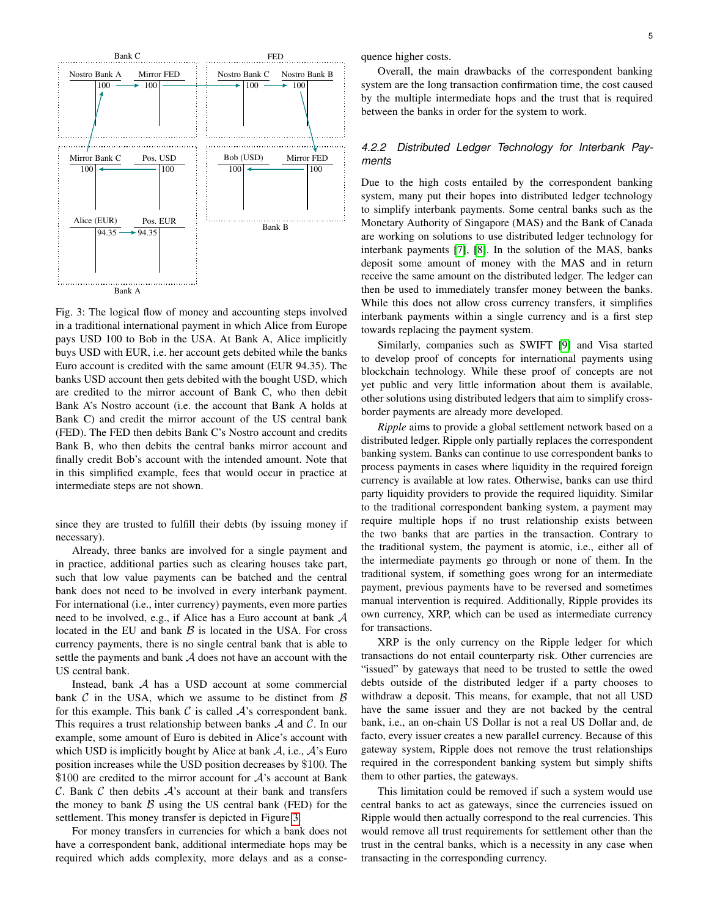<span id="page-4-0"></span>

Fig. 3: The logical flow of money and accounting steps involved in a traditional international payment in which Alice from Europe pays USD 100 to Bob in the USA. At Bank A, Alice implicitly buys USD with EUR, i.e. her account gets debited while the banks Euro account is credited with the same amount (EUR 94.35). The banks USD account then gets debited with the bought USD, which are credited to the mirror account of Bank C, who then debit Bank A's Nostro account (i.e. the account that Bank A holds at Bank C) and credit the mirror account of the US central bank (FED). The FED then debits Bank C's Nostro account and credits Bank B, who then debits the central banks mirror account and finally credit Bob's account with the intended amount. Note that in this simplified example, fees that would occur in practice at intermediate steps are not shown.

since they are trusted to fulfill their debts (by issuing money if necessary).

Already, three banks are involved for a single payment and in practice, additional parties such as clearing houses take part, such that low value payments can be batched and the central bank does not need to be involved in every interbank payment. For international (i.e., inter currency) payments, even more parties need to be involved, e.g., if Alice has a Euro account at bank A located in the EU and bank  $\beta$  is located in the USA. For cross currency payments, there is no single central bank that is able to settle the payments and bank A does not have an account with the US central bank.

Instead, bank  $\mathcal A$  has a USD account at some commercial bank  $\mathcal C$  in the USA, which we assume to be distinct from  $\mathcal B$ for this example. This bank  $\mathcal C$  is called  $\mathcal A$ 's correspondent bank. This requires a trust relationship between banks  $A$  and  $C$ . In our example, some amount of Euro is debited in Alice's account with which USD is implicitly bought by Alice at bank  $A$ , i.e.,  $A$ 's Euro position increases while the USD position decreases by \$100. The \$100 are credited to the mirror account for  $A$ 's account at Bank C. Bank C then debits  $A$ 's account at their bank and transfers the money to bank  $\beta$  using the US central bank (FED) for the settlement. This money transfer is depicted in Figure [3.](#page-4-0)

For money transfers in currencies for which a bank does not have a correspondent bank, additional intermediate hops may be required which adds complexity, more delays and as a consequence higher costs.

Overall, the main drawbacks of the correspondent banking system are the long transaction confirmation time, the cost caused by the multiple intermediate hops and the trust that is required between the banks in order for the system to work.

## *4.2.2 Distributed Ledger Technology for Interbank Payments*

Due to the high costs entailed by the correspondent banking system, many put their hopes into distributed ledger technology to simplify interbank payments. Some central banks such as the Monetary Authority of Singapore (MAS) and the Bank of Canada are working on solutions to use distributed ledger technology for interbank payments [\[7\]](#page-6-8), [\[8\]](#page-6-9). In the solution of the MAS, banks deposit some amount of money with the MAS and in return receive the same amount on the distributed ledger. The ledger can then be used to immediately transfer money between the banks. While this does not allow cross currency transfers, it simplifies interbank payments within a single currency and is a first step towards replacing the payment system.

Similarly, companies such as SWIFT [\[9\]](#page-6-10) and Visa started to develop proof of concepts for international payments using blockchain technology. While these proof of concepts are not yet public and very little information about them is available, other solutions using distributed ledgers that aim to simplify crossborder payments are already more developed.

*Ripple* aims to provide a global settlement network based on a distributed ledger. Ripple only partially replaces the correspondent banking system. Banks can continue to use correspondent banks to process payments in cases where liquidity in the required foreign currency is available at low rates. Otherwise, banks can use third party liquidity providers to provide the required liquidity. Similar to the traditional correspondent banking system, a payment may require multiple hops if no trust relationship exists between the two banks that are parties in the transaction. Contrary to the traditional system, the payment is atomic, i.e., either all of the intermediate payments go through or none of them. In the traditional system, if something goes wrong for an intermediate payment, previous payments have to be reversed and sometimes manual intervention is required. Additionally, Ripple provides its own currency, XRP, which can be used as intermediate currency for transactions.

XRP is the only currency on the Ripple ledger for which transactions do not entail counterparty risk. Other currencies are "issued" by gateways that need to be trusted to settle the owed debts outside of the distributed ledger if a party chooses to withdraw a deposit. This means, for example, that not all USD have the same issuer and they are not backed by the central bank, i.e., an on-chain US Dollar is not a real US Dollar and, de facto, every issuer creates a new parallel currency. Because of this gateway system, Ripple does not remove the trust relationships required in the correspondent banking system but simply shifts them to other parties, the gateways.

This limitation could be removed if such a system would use central banks to act as gateways, since the currencies issued on Ripple would then actually correspond to the real currencies. This would remove all trust requirements for settlement other than the trust in the central banks, which is a necessity in any case when transacting in the corresponding currency.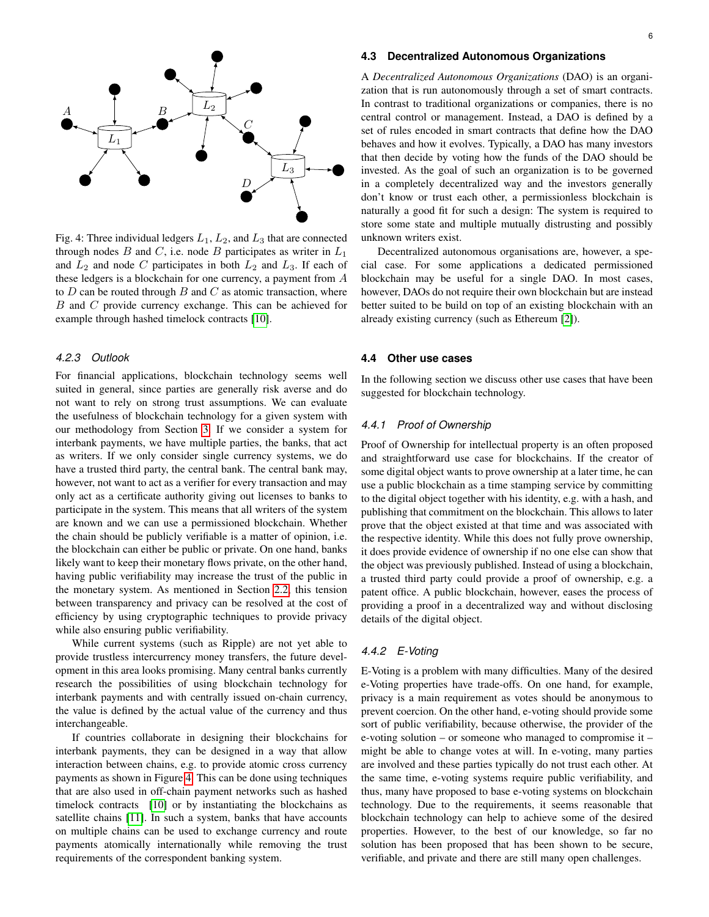<span id="page-5-0"></span>

Fig. 4: Three individual ledgers  $L_1$ ,  $L_2$ , and  $L_3$  that are connected through nodes  $B$  and  $C$ , i.e. node  $B$  participates as writer in  $L_1$ and  $L_2$  and node C participates in both  $L_2$  and  $L_3$ . If each of these ledgers is a blockchain for one currency, a payment from A to  $D$  can be routed through  $B$  and  $C$  as atomic transaction, where B and C provide currency exchange. This can be achieved for example through hashed timelock contracts [\[10\]](#page-6-11).

#### *4.2.3 Outlook*

For financial applications, blockchain technology seems well suited in general, since parties are generally risk averse and do not want to rely on strong trust assumptions. We can evaluate the usefulness of blockchain technology for a given system with our methodology from Section [3.](#page-1-0) If we consider a system for interbank payments, we have multiple parties, the banks, that act as writers. If we only consider single currency systems, we do have a trusted third party, the central bank. The central bank may, however, not want to act as a verifier for every transaction and may only act as a certificate authority giving out licenses to banks to participate in the system. This means that all writers of the system are known and we can use a permissioned blockchain. Whether the chain should be publicly verifiable is a matter of opinion, i.e. the blockchain can either be public or private. On one hand, banks likely want to keep their monetary flows private, on the other hand, having public verifiability may increase the trust of the public in the monetary system. As mentioned in Section [2.2,](#page-1-2) this tension between transparency and privacy can be resolved at the cost of efficiency by using cryptographic techniques to provide privacy while also ensuring public verifiability.

While current systems (such as Ripple) are not yet able to provide trustless intercurrency money transfers, the future development in this area looks promising. Many central banks currently research the possibilities of using blockchain technology for interbank payments and with centrally issued on-chain currency, the value is defined by the actual value of the currency and thus interchangeable.

If countries collaborate in designing their blockchains for interbank payments, they can be designed in a way that allow interaction between chains, e.g. to provide atomic cross currency payments as shown in Figure [4.](#page-5-0) This can be done using techniques that are also used in off-chain payment networks such as hashed timelock contracts [\[10\]](#page-6-11) or by instantiating the blockchains as satellite chains [\[11\]](#page-6-12). In such a system, banks that have accounts on multiple chains can be used to exchange currency and route payments atomically internationally while removing the trust requirements of the correspondent banking system.

# **4.3 Decentralized Autonomous Organizations**

A *Decentralized Autonomous Organizations* (DAO) is an organization that is run autonomously through a set of smart contracts. In contrast to traditional organizations or companies, there is no central control or management. Instead, a DAO is defined by a set of rules encoded in smart contracts that define how the DAO behaves and how it evolves. Typically, a DAO has many investors that then decide by voting how the funds of the DAO should be invested. As the goal of such an organization is to be governed in a completely decentralized way and the investors generally don't know or trust each other, a permissionless blockchain is naturally a good fit for such a design: The system is required to store some state and multiple mutually distrusting and possibly unknown writers exist.

Decentralized autonomous organisations are, however, a special case. For some applications a dedicated permissioned blockchain may be useful for a single DAO. In most cases, however, DAOs do not require their own blockchain but are instead better suited to be build on top of an existing blockchain with an already existing currency (such as Ethereum [\[2\]](#page-6-3)).

#### **4.4 Other use cases**

In the following section we discuss other use cases that have been suggested for blockchain technology.

# *4.4.1 Proof of Ownership*

Proof of Ownership for intellectual property is an often proposed and straightforward use case for blockchains. If the creator of some digital object wants to prove ownership at a later time, he can use a public blockchain as a time stamping service by committing to the digital object together with his identity, e.g. with a hash, and publishing that commitment on the blockchain. This allows to later prove that the object existed at that time and was associated with the respective identity. While this does not fully prove ownership, it does provide evidence of ownership if no one else can show that the object was previously published. Instead of using a blockchain, a trusted third party could provide a proof of ownership, e.g. a patent office. A public blockchain, however, eases the process of providing a proof in a decentralized way and without disclosing details of the digital object.

## *4.4.2 E-Voting*

E-Voting is a problem with many difficulties. Many of the desired e-Voting properties have trade-offs. On one hand, for example, privacy is a main requirement as votes should be anonymous to prevent coercion. On the other hand, e-voting should provide some sort of public verifiability, because otherwise, the provider of the e-voting solution – or someone who managed to compromise it – might be able to change votes at will. In e-voting, many parties are involved and these parties typically do not trust each other. At the same time, e-voting systems require public verifiability, and thus, many have proposed to base e-voting systems on blockchain technology. Due to the requirements, it seems reasonable that blockchain technology can help to achieve some of the desired properties. However, to the best of our knowledge, so far no solution has been proposed that has been shown to be secure, verifiable, and private and there are still many open challenges.